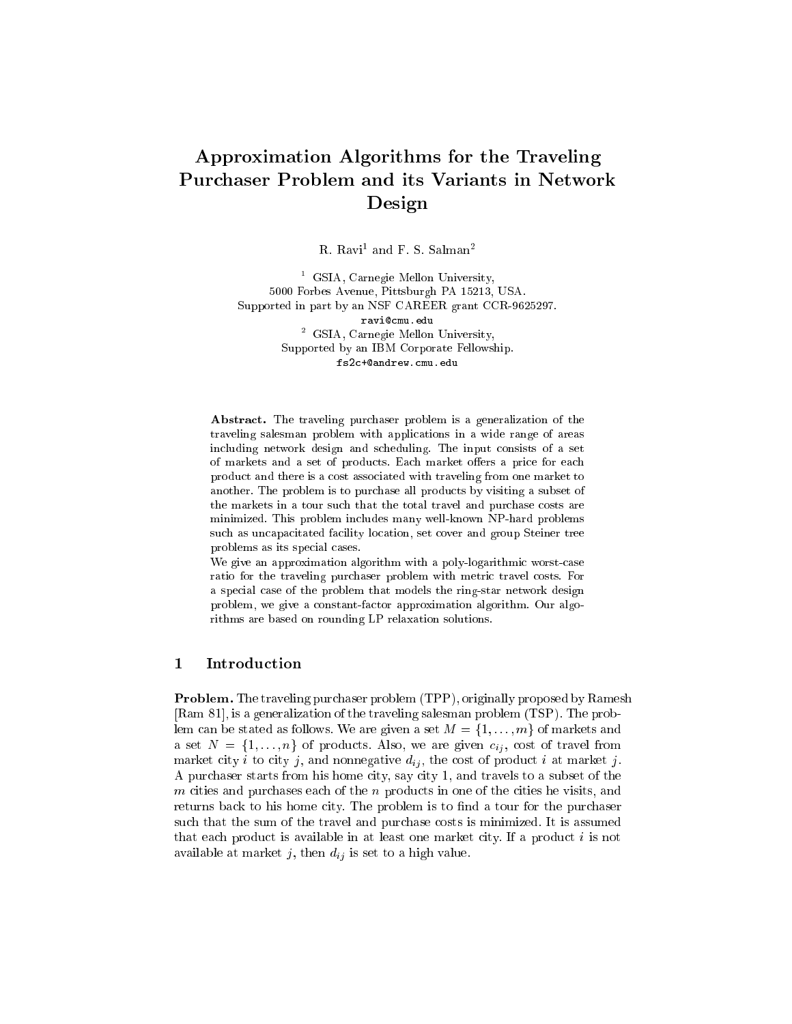# Approximation Algorithms for the Traveling Purchaser Problem and its Variants in Network Design

R. Kavit and F. S. Salmant

<sup>1</sup> GSIA, Carnegie Mellon University, 5000 Forbes Avenue, Pittsburgh PA 15213, USA. Supported in part by an NSF CAREER grant CCR-9625297. ravi@cmu.edu <sup>2</sup> GSIA, Carnegie Mellon University, Supported by an IBM Corporate Fellowship. fs2c+@andrew.cmu.edu

Abstract. The traveling purchaser problem is a generalization of the traveling salesman problem with applications in a wide range of areas including network design and scheduling. The input consists of a set of markets and a set of products. Each market offers a price for each product and there is a cost associated with traveling from one market to another. The problem is to purchase all products by visiting a subset of the markets in a tour such that the total travel and purchase costs are minimized. This problem includes many well-known NP-hard problems such as uncapacitated facility location, set cover and group Steiner tree problems as its special cases.

We give an approximation algorithm with a poly-logarithmic worst-case ratio for the traveling purchaser problem with metric travel costs. For a special case of the problem that models the ring-star network design problem, we give a constant-factor approximation algorithm. Our algorithms are based on rounding LP relaxation solutions.

## 1 Introduction

Problem. The traveling purchaser problem (TPP), originally proposed by Ramesh [Ram 81], is a generalization of the traveling salesman problem (TSP). The problem can be stated as follows. We are given a set  $M = \{1, \ldots, m\}$  of markets and a set  $N = \{1, ..., n\}$  of products. Also, we are given  $c_{ij}$ , cost of travel from market city i to city j, and nonnegative  $d_{ij}$ , the cost of product i at market j. A purchaser starts from his home city, say city 1, and travels to a subset of the m cities and purchases each of the n products in one of the cities he visits, and returns back to his home city. The problem is to find a tour for the purchaser such that the sum of the travel and purchase costs is minimized. It is assumed that each product is available in at least one market city. If a product  $i$  is not available at market j, then  $d_{ij}$  is set to a high value.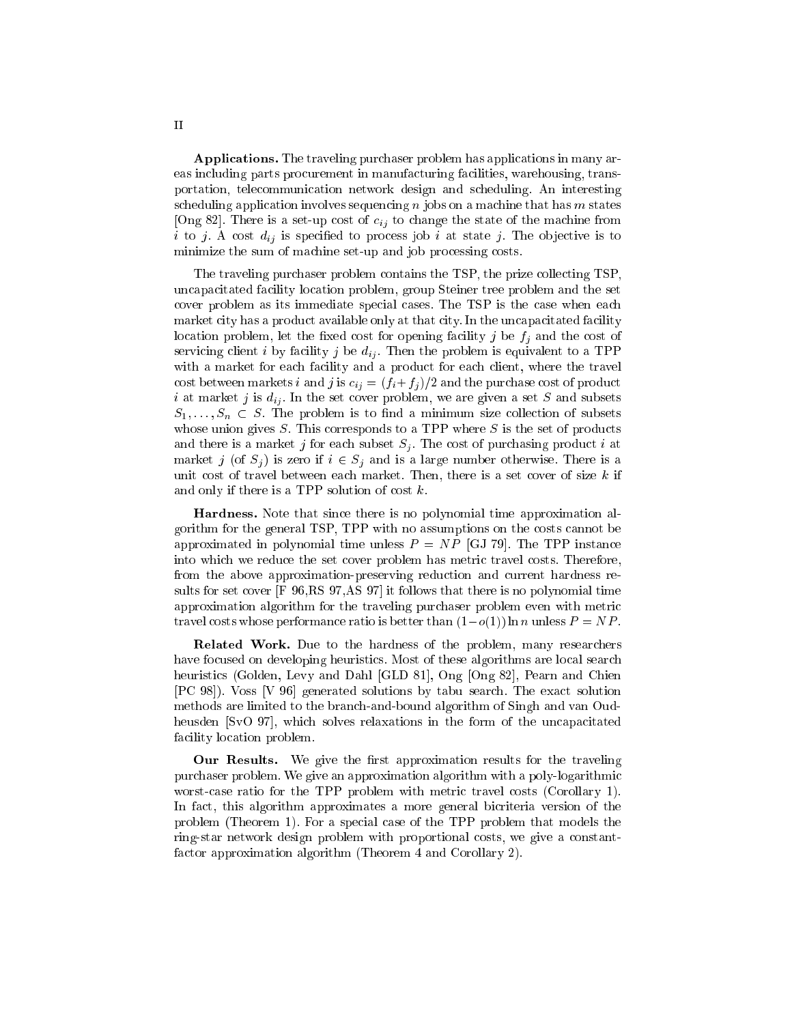Applications. The traveling purchaser problem has applications in many areas including parts procurement in manufacturing facilities, warehousing, transportation, telecommunication network design and scheduling. An interesting scheduling application involves sequencing  $n$  jobs on a machine that has  $m$  states [Ong 82]. There is a set-up cost of  $c_{ij}$  to change the state of the machine from i to j. A cost  $d_{ij}$  is specified to process job i at state j. The objective is to minimize the sum of machine set-up and job processing costs.

The traveling purchaser problem contains the TSP, the prize collecting TSP, uncapacitated facility location problem, group Steiner tree problem and the set cover problem as its immediate special cases. The TSP is the case when each market city has a product available only at that city. In the uncapacitated facility location problem, let the fixed cost for opening facility j be  $f_i$  and the cost of servicing client i by facility j be  $d_{ij}$ . Then the problem is equivalent to a TPP with a market for each facility and a product for each client, where the travel cost between markets *i* and *j* is  $c_{ij} = (f_i + f_j)/2$  and the purchase cost of product i at market j is  $d_{ij}$ . In the set cover problem, we are given a set S and subsets  $S_1, \ldots, S_n \subset S$ . The problem is to find a minimum size collection of subsets whose union gives  $S$ . This corresponds to a TPP where  $S$  is the set of products and there is a market j for each subset  $S_i$ . The cost of purchasing product i at market j (of  $S_j$ ) is zero if  $i \in S_j$  and is a large number otherwise. There is a unit cost of travel between each market. Then, there is a set cover of size  $k$  if and only if there is a TPP solution of cost  $k$ .

Hardness. Note that since there is no polynomial time approximation algorithm for the general TSP, TPP with no assumptions on the costs cannot be approximated in polynomial time unless  $P = NP$  [GJ 79]. The TPP instance into which we reduce the set cover problem has metric travel costs. Therefore, from the above approximation-preserving reduction and current hardness results for set cover [F 96,RS 97,AS 97] it follows that there is no polynomial time approximation algorithm for the traveling purchaser problem even with metric travel costs whose performance ratio is better than  $(1-o(1))$  ln n unless  $P = NP$ .

Related Work. Due to the hardness of the problem, many researchers have focused on developing heuristics. Most of these algorithms are local search heuristics (Golden, Levy and Dahl [GLD 81], Ong [Ong 82], Pearn and Chien [PC 98]). Voss [V 96] generated solutions by tabu search. The exact solution methods are limited to the branch-and-bound algorithm of Singh and van Oudheusden [SvO 97], which solves relaxations in the form of the uncapacitated facility location problem.

Our Results. We give the first approximation results for the traveling purchaser problem. We give an approximation algorithm with a poly-logarithmic worst-case ratio for the TPP problem with metric travel costs (Corollary 1). In fact, this algorithm approximates a more general bicriteria version of the problem (Theorem 1). For a special case of the TPP problem that models the ring-star network design problem with proportional costs, we give a constantfactor approximation algorithm (Theorem 4 and Corollary 2).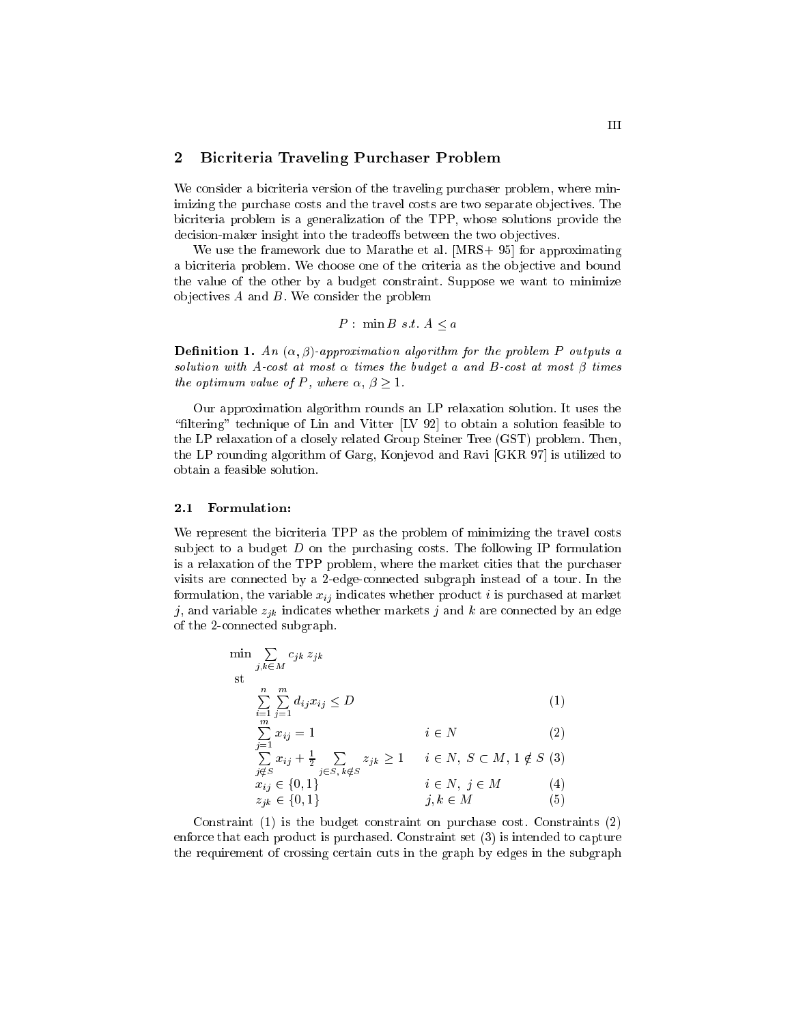## 2 Bicriteria Traveling Purchaser Problem

We consider a bicriteria version of the traveling purchaser problem, where minimizing the purchase costs and the travel costs are two separate objectives. The bicriteria problem is a generalization of the TPP, whose solutions provide the decision-maker insight into the tradeoffs between the two objectives.

We use the framework due to Marathe et al. [MRS+ 95] for approximating a bicriteria problem. We choose one of the criteria as the ob jective and bound the value of the other by a budget constraint. Suppose we want to minimize objectives  $A$  and  $B$ . We consider the problem

$$
P: \min B \ s.t. \ A \le a
$$

**Definition 1.** An  $(\alpha, \beta)$ -approximation algorithm for the problem P outputs a solution with A-cost at most  $\alpha$  times the budget  $a$  and  $B$ -cost at most  $\beta$  times the optimum value of P, where  $\alpha, \beta \geq 1$ .

Our approximation algorithm rounds an LP relaxation solution. It uses the "filtering" technique of Lin and Vitter  $[IV 92]$  to obtain a solution feasible to the LP relaxation of a closely related Group Steiner Tree (GST) problem. Then, the LP rounding algorithm of Garg, Konjevod and Ravi [GKR 97] is utilized to obtain a feasible solution.

#### $2.1\,$ Formulation:

We represent the bicriteria TPP as the problem of minimizing the travel costs subject to a budget  $D$  on the purchasing costs. The following IP formulation is a relaxation of the TPP problem, where the market cities that the purchaser visits are connected by a 2-edge-connected subgraph instead of a tour. In the formulation, the variable  $x_{ij}$  indicates whether product i is purchased at market j, and variable  $z_{jk}$  indicates whether markets j and k are connected by an edge of the 2-connected subgraph.

$$
\min \sum_{j,k \in M} c_{jk} z_{jk}
$$
\n
$$
\sum_{i=1}^{n} \sum_{j=1}^{m} d_{ij} x_{ij} \le D
$$
\n
$$
\sum_{i=1}^{m} x_{ij} = 1
$$
\n
$$
i \in N
$$
\n(1)

$$
\sum_{\substack{j \notin S \\ x_{ij} \in \{0, 1\} \\ z_{jk} \in \{0, 1\}}} x_{ij} + \frac{1}{2} \sum_{j \in S, k \notin S} z_{jk} \ge 1 \qquad i \in N, \ S \subset M, 1 \notin S \ (3)
$$
\n
$$
i \in N, \ j \in M \tag{4}
$$
\n
$$
j, k \in M \tag{5}
$$

Constraint (1) is the budget constraint on purchase cost. Constraints (2) enforce that each product is purchased. Constraint set (3) is intended to capture the requirement of crossing certain cuts in the graph by edges in the subgraph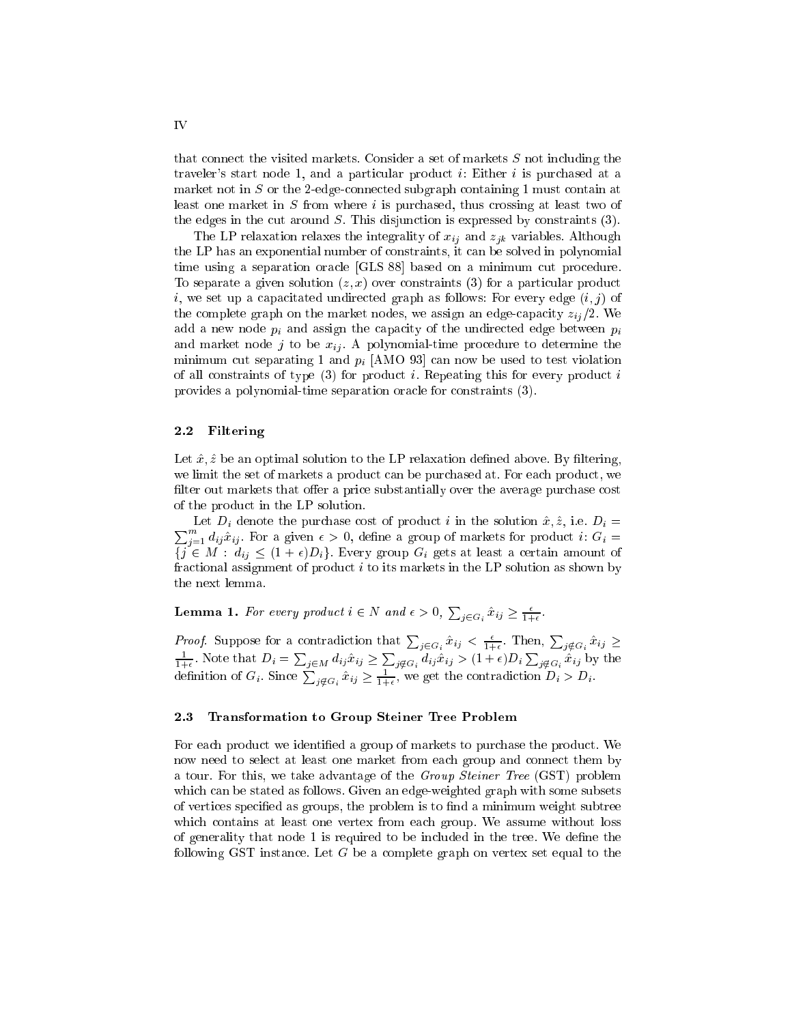that connect the visited markets. Consider a set of markets S not including the traveler's start node 1, and a particular product i: Either i is purchased at a market not in  $S$  or the 2-edge-connected subgraph containing 1 must contain at least one market in  $S$  from where  $i$  is purchased, thus crossing at least two of the edges in the cut around  $S$ . This disjunction is expressed by constraints  $(3)$ .

The LP relaxation relaxes the integrality of  $x_{ij}$  and  $z_{ik}$  variables. Although the LP has an exponential number of constraints, it can be solved in polynomial time using a separation oracle [GLS 88] based on a minimum cut procedure. To separate a given solution  $(z, x)$  over constraints (3) for a particular product i, we set up a capacitated undirected graph as follows: For every edge  $(i, j)$  of the complete graph on the market nodes, we assign an edge-capacity  $z_{ii}/2$ . We add a new node  $p_i$  and assign the capacity of the undirected edge between  $p_i$ and market node j to be  $x_{ij}$ . A polynomial-time procedure to determine the minimum cut separating 1 and  $p_i$  [AMO 93] can now be used to test violation of all constraints of type  $(3)$  for product *i*. Repeating this for every product *i* provides a polynomial-time separation oracle for constraints (3).

## 2.2 Filtering

Let  $\hat{x}, \hat{z}$  be an optimal solution to the LP relaxation defined above. By filtering, we limit the set of markets a product can be purchased at. For each product, we filter out markets that offer a price substantially over the average purchase cost of the product in the LP solution.

 $\sum_{i=1}^m d_{ij} \hat{x}_{ij}$ . For a given  $\epsilon > 0$ , define a group of markets for product i:  $G_i =$ Let  $D_i$  denote the purchase cost of product i in the solution  $\hat{x}, \hat{z}$ , i.e.  $D_i =$  $\{j \in M : d_{ij} \leq (1 + \epsilon)D_i\}$ . Every group  $G_i$  gets at least a certain amount of fractional assignment of product  $i$  to its markets in the LP solution as shown by the next lemma.

**Lemma 1.** For every product  $i \in N$  and  $\epsilon > 0$ ,  $\sum_{j \in G_i} \hat{x}_{ij} \geq \frac{\epsilon}{1+\epsilon}$ . 1+

*Proof.* Suppose for a contradiction that  $\sum_{j \in G_i} \hat{x}_{ij} < \frac{\epsilon}{1+\epsilon}$ . Then,  $\sum_{j \notin G_i} \hat{x}_{ij} \ge$  $\frac{1}{1+\epsilon}$ . Note that  $D_i = \sum_{j \in M} d_{ij} \hat{x}_{ij} \geq \sum_{j \notin G_i} d_{ij} \hat{x}_{ij} > (1+\epsilon)D_i \sum_{j \notin G_i} \hat{x}_{ij}$  by the definition of  $G_i$ . Since  $\sum_{j \notin G_i} \hat{x}_{ij} \ge \frac{1}{1+\epsilon}$ , we get the contradiction  $D_i > D_i$ .

## 2.3 Transformation to Group Steiner Tree Problem

For each product we identied a group of markets to purchase the product. We now need to select at least one market from each group and connect them by a tour. For this, we take advantage of the Group Steiner Tree (GST) problem which can be stated as follows. Given an edge-weighted graph with some subsets of vertices specified as groups, the problem is to find a minimum weight subtree which contains at least one vertex from each group. We assume without loss of generality that node 1 is required to be included in the tree. We define the following GST instance. Let  $G$  be a complete graph on vertex set equal to the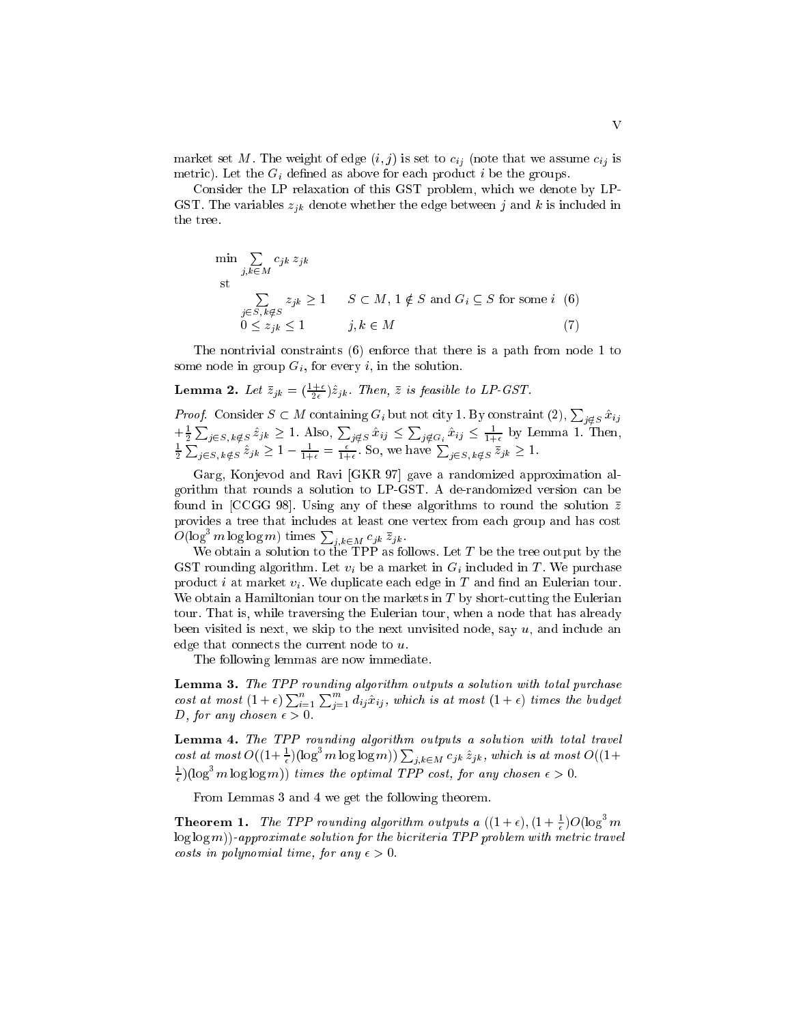market set M. The weight of edge  $(i, j)$  is set to  $c_{ij}$  (note that we assume  $c_{ij}$  is metric). Let the  $G_i$  defined as above for each product i be the groups.

Consider the LP relaxation of this GST problem, which we denote by LP-GST. The variables  $z_{jk}$  denote whether the edge between j and k is included in the tree.

$$
\min_{j,k \in M} \sum_{j \in S, k \notin S} c_{jk} z_{jk}
$$
\n
$$
\sum_{j \in S, k \notin S} z_{jk} \ge 1 \qquad S \subset M, 1 \notin S \text{ and } G_i \subseteq S \text{ for some } i \tag{6}
$$
\n
$$
0 \le z_{ik} \le 1 \qquad j,k \in M \tag{7}
$$

The nontrivial constraints (6) enforce that there is a path from node 1 to some node in group  $G_i$ , for every i, in the solution.

## **Lemma 2.** Let  $z_{jk} = (\frac{1}{2\epsilon})z_{jk}$ . Then, z is feasible to LP-GST.

*Proof.* Consider  $S \subset M$  containing  $G_i$  but not city 1. By constraint  $(2), \sum_{i \notin S} \hat{x}_{ij}$  $+\frac{1}{2}$  $+\frac{1}{2}\sum_{j\in S, k\notin S} \hat{z}_{jk} \geq 1$ . Also,  $\sum_{j\notin S} \hat{x}_{ij} \leq \sum_{j\notin G_i} \hat{x}_{ij} \leq \frac{1}{1+\epsilon}$  by Lemma 1. Then,  $\frac{1}{2}\sum_{j\in S, k\notin S} \hat{z}_{jk} \geq 1 - \frac{1}{1+\epsilon} = \frac{\epsilon}{1+\epsilon}$ . So, we have  $\sum_{j\in S, k\notin S} \bar{z}_{jk} \geq 1$ .  $\sum_{j\in S, k\notin S} \hat{z}_{jk} \geq 1 - \frac{1}{1+\epsilon} = \frac{\epsilon}{1+\epsilon}$ . So, we have  $\sum_{j\in S, k\notin S} \overline{z}_{jk} \geq 1$ .

Garg, Konjevod and Ravi [GKR 97] gave a randomized approximation algorithm that rounds a solution to LP-GST. A de-randomized version can be found in [CCGG 98]. Using any of these algorithms to round the solution  $\bar{z}$ provides a tree that includes at least one vertex from each group and has cost  $O(\log^3 m \log \log m)$  times  $\sum_{i,k \in M} c_{jk} \bar{z}_{jk}$ .

We obtain a solution to the TPP as follows. Let  $T$  be the tree output by the GST rounding algorithm. Let  $v_i$  be a market in  $G_i$  included in T. We purchase product i at market  $v_i$ . We duplicate each edge in T and find an Eulerian tour. We obtain a Hamiltonian tour on the markets in  $T$  by short-cutting the Eulerian tour. That is, while traversing the Eulerian tour, when a node that has already been visited is next, we skip to the next unvisited node, say  $u$ , and include an edge that connects the current node to u.

The following lemmas are now immediate.

Lemma 3. The TPP rounding algorithm outputs a solution with total purchase cost at most  $(1+\epsilon)\sum_{i=1}^n$  $\sum_{i=1}^m d_{ij} \hat{x}_{ij}$ , which is at most  $(1 + \epsilon)$  times the budget D, for any chosen  $\epsilon > 0$ .

Lemma 4. The TPP rounding algorithm outputs a solution with total travel cost at most  $O((1+\frac{1}{\epsilon})(\log^3 m \log \log m))\sum_{j,k \in M} c_{jk} \hat{z}_{jk}$ , which is at most  $O((1+\frac{1}{\epsilon})$  $\pm$ )(log<sup>3</sup> m log log m)) times the optimal TPP cost, for any chosen  $\epsilon > 0$ .

From Lemmas 3 and 4 we get the following theorem.

**Theorem 1.** The TPP rounding algorithm outputs a  $((1+\epsilon), (1+\frac{1}{\epsilon})O(\log^3 m))$  $log log (m)$ )-approximate solution for the bicriteria TPP problem with metric travel costs in polynomial time, for any  $\epsilon > 0$ .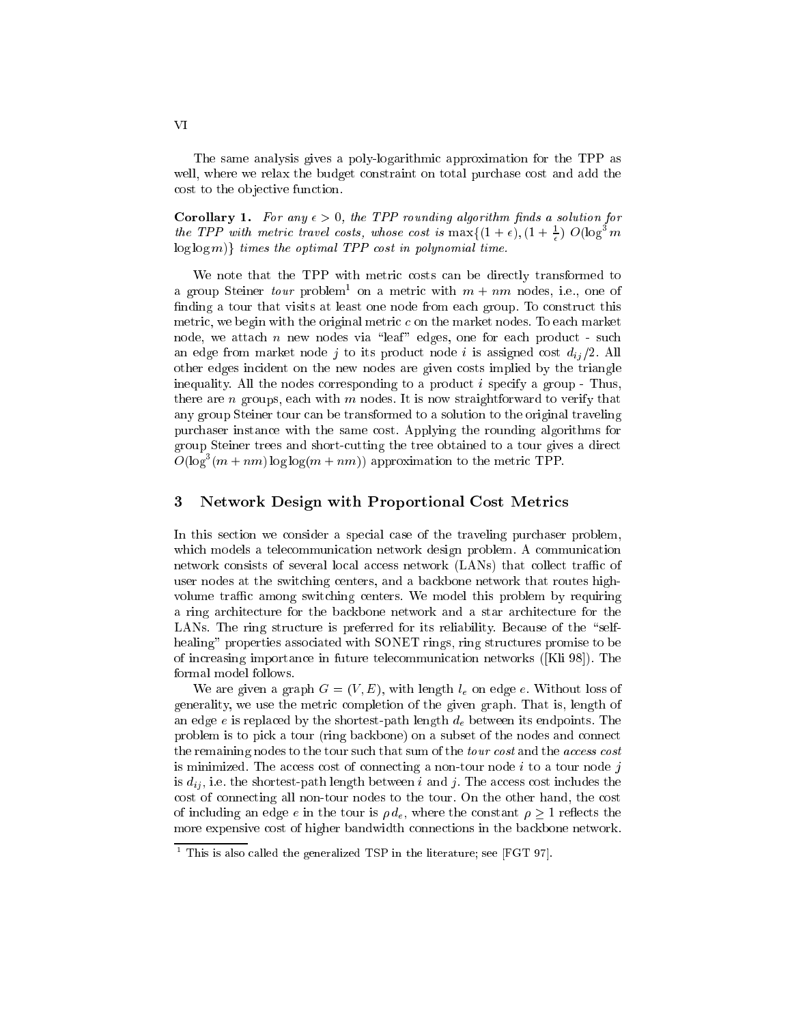The same analysis gives a poly-logarithmic approximation for the TPP as well, where we relax the budget constraint on total purchase cost and add the cost to the objective function.

**Corollary 1.** For any  $\epsilon > 0$ , the TPP rounding algorithm finds a solution for the TPP with metric travel costs, whose cost is  $\max\{(1+\epsilon), (1+\frac{1}{\epsilon}) \ O(\log^3 m) \}$ - $\log \log m$ } times the optimal TPP cost in polynomial time.

We note that the TPP with metric costs can be directly transformed to a group steiner  $\iota{\mathit{our}}$  problem on a metric with  $m$  +  $nm$  nodes, i.e., one of finding a tour that visits at least one node from each group. To construct this metric, we begin with the original metric c on the market nodes. To each market node, we attach n new nodes via "leaf" edges, one for each product - such an edge from market node j to its product node i is assigned cost  $d_{ii}/2$ . All other edges incident on the new nodes are given costs implied by the triangle inequality. All the nodes corresponding to a product  $i$  specify a group - Thus, there are n groups, each with  $m$  nodes. It is now straightforward to verify that any group Steiner tour can be transformed to a solution to the original traveling purchaser instance with the same cost. Applying the rounding algorithms for group Steiner trees and short-cutting the tree obtained to a tour gives a direct  $O(\log^3(m + nm) \log \log(m + nm))$  approximation to the metric TPP.

## 3 Network Design with Proportional Cost Metrics

In this section we consider a special case of the traveling purchaser problem, which models a telecommunication network design problem. A communication network consists of several local access network (LANs) that collect traffic of user nodes at the switching centers, and a backbone network that routes highvolume traffic among switching centers. We model this problem by requiring a ring architecture for the backbone network and a star architecture for the LANs. The ring structure is preferred for its reliability. Because of the "selfhealing" properties associated with SONET rings, ring structures promise to be of increasing importance in future telecommunication networks ([Kli 98]). The formal model follows.

We are given a graph  $G = (V, E)$ , with length  $l_e$  on edge e. Without loss of generality, we use the metric completion of the given graph. That is, length of an edge e is replaced by the shortest-path length  $d_e$  between its endpoints. The problem is to pick a tour (ring backbone) on a subset of the nodes and connect the remaining nodes to the tour such that sum of the *tour cost* and the *access cost* is minimized. The access cost of connecting a non-tour node  $i$  to a tour node  $j$ is  $d_{ij}$ , i.e. the shortest-path length between i and j. The access cost includes the cost of connecting all non-tour nodes to the tour. On the other hand, the cost of including an edge e in the tour is  $\rho d_e$ , where the constant  $\rho \geq 1$  reflects the more expensive cost of higher bandwidth connections in the backbone network.

This is also called the generalized TSP in the literature; see [FGT 97].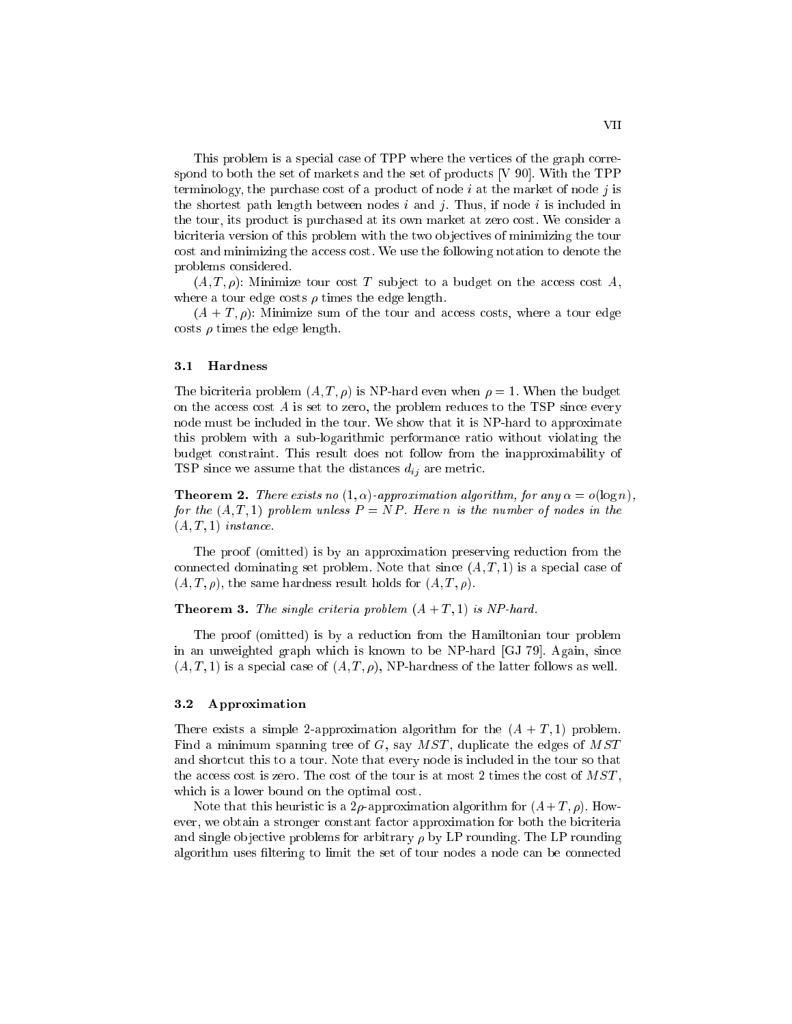This problem is a special case of TPP where the vertices of the graph correspond to both the set of markets and the set of products [V 90]. With the TPP terminology, the purchase cost of a product of node  $i$  at the market of node  $j$  is the shortest path length between nodes  $i$  and  $j$ . Thus, if node  $i$  is included in the tour, its product is purchased at its own market at zero cost. We consider a bicriteria version of this problem with the two objectives of minimizing the tour cost and minimizing the access cost. We use the following notation to denote the problems considered.

 $(A, T, \rho)$ : Minimize tour cost T subject to a budget on the access cost A, where a tour edge costs  $\rho$  times the edge length.

 $(A + T, \rho)$ : Minimize sum of the tour and access costs, where a tour edge costs  $\rho$  times the edge length.

### $3.1$ Hardness

The bicriteria problem  $(A, T, \rho)$  is NP-hard even when  $\rho = 1$ . When the budget on the access cost  $A$  is set to zero, the problem reduces to the TSP since every node must be included in the tour. We show that it is NP-hard to approximate this problem with a sub-logarithmic performance ratio without violating the budget constraint. This result does not follow from the inapproximability of TSP since we assume that the distances  $d_{ij}$  are metric.

**Theorem 2.** There exists no  $(1, \alpha)$ -approximation algorithm, for any  $\alpha = o(\log n)$ , for the  $(A, T, 1)$  problem unless  $P = NP$ . Here n is the number of nodes in the  $(A, T, 1)$  instance.

The proof (omitted) is by an approximation preserving reduction from the connected dominating set problem. Note that since  $(A, T, 1)$  is a special case of  $(A, T, \rho)$ , the same hardness result holds for  $(A, T, \rho)$ .

**Theorem 3.** The single criteria problem  $(A + T, 1)$  is NP-hard.

The proof (omitted) is by a reduction from the Hamiltonian tour problem in an unweighted graph which is known to be NP-hard [GJ 79]. Again, since  $(A, T, 1)$  is a special case of  $(A, T, \rho)$ , NP-hardness of the latter follows as well.

### 3.2 Approximation

There exists a simple 2-approximation algorithm for the  $(A + T, 1)$  problem. Find a minimum spanning tree of  $G$ , say  $MST$ , duplicate the edges of  $MST$ and shortcut this to a tour. Note that every node is included in the tour so that the access cost is zero. The cost of the tour is at most 2 times the cost of  $MST$ , which is a lower bound on the optimal cost.

Note that this heuristic is a 2 $\rho$ -approximation algorithm for  $(A+T, \rho)$ . However, we obtain a stronger constant factor approximation for both the bicriteria and single objective problems for arbitrary  $\rho$  by LP rounding. The LP rounding algorithm uses ltering to limit the set of tour nodes a node can be connected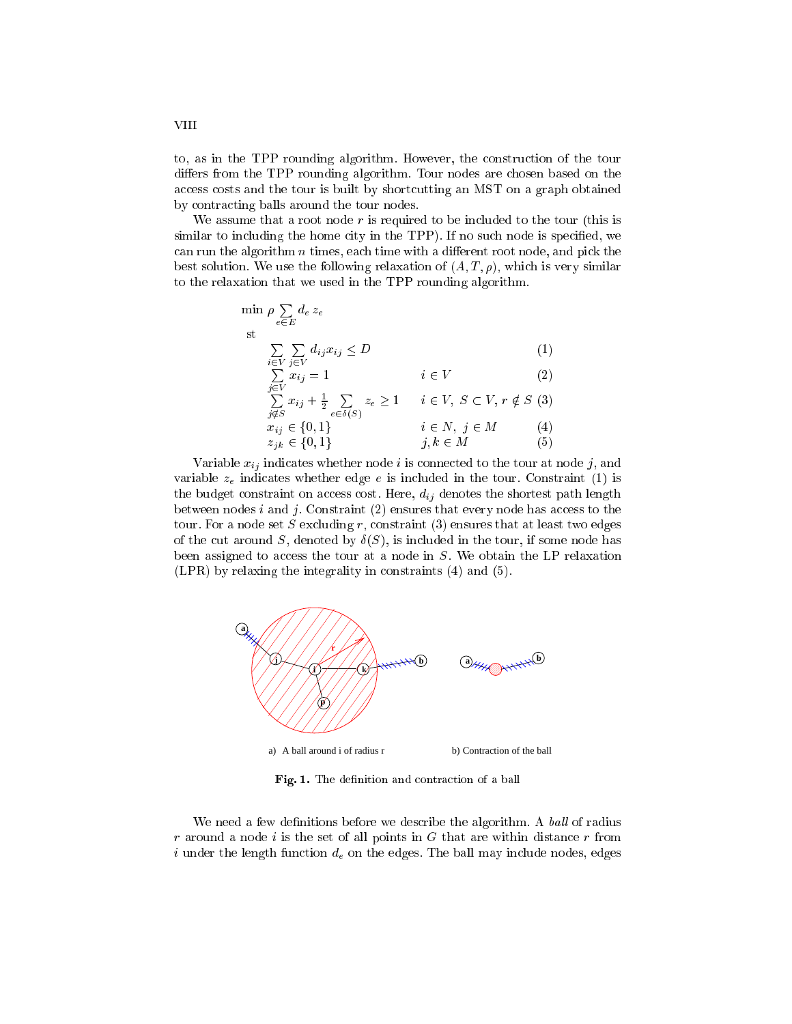to, as in the TPP rounding algorithm. However, the construction of the tour differs from the TPP rounding algorithm. Tour nodes are chosen based on the access costs and the tour is built by shortcutting an MST on a graph obtained by contracting balls around the tour nodes.

We assume that a root node  $r$  is required to be included to the tour (this is similar to including the home city in the TPP). If no such node is specified, we can run the algorithm  $n$  times, each time with a different root node, and pick the best solution. We use the following relaxation of  $(A, T, \rho)$ , which is very similar to the relaxation that we used in the TPP rounding algorithm.

$$
\min_{e \in E} \rho \sum_{e \in E} d_e z_e
$$
\nst\n
$$
\sum_{i \in V} \sum_{j \in V} d_{ij} x_{ij} \le D
$$
\n
$$
\sum_{j \in V} x_{ij} = 1
$$
\ni \in V

\n2)

\n
$$
\sum_{j \notin S} x_{ij} + \frac{1}{2} \sum_{e \in \delta(S)} z_e \ge 1
$$
\ni \in V, S \subset V, r \notin S

\n3)

\n
$$
x_{ij} \in \{0, 1\}
$$
\ni \in N, j \in M

\n4)

\n
$$
z_{jk} \in \{0, 1\}
$$
\nj, k \in M

\n(5)

Variable  $x_{ij}$  indicates whether node i is connected to the tour at node j, and variable  $z_e$  indicates whether edge e is included in the tour. Constraint (1) is the budget constraint on access cost. Here,  $d_{ij}$  denotes the shortest path length between nodes  $i$  and  $j$ . Constraint (2) ensures that every node has access to the tour. For a node set S excluding r, constraint  $(3)$  ensures that at least two edges of the cut around S, denoted by  $\delta(S)$ , is included in the tour, if some node has been assigned to access the tour at a node in S. We obtain the LP relaxation (LPR) by relaxing the integrality in constraints (4) and (5).



Fig. 1. The definition and contraction of a ball

We need a few definitions before we describe the algorithm. A ball of radius  $r$  around a node i is the set of all points in  $G$  that are within distance  $r$  from i under the length function  $d_e$  on the edges. The ball may include nodes, edges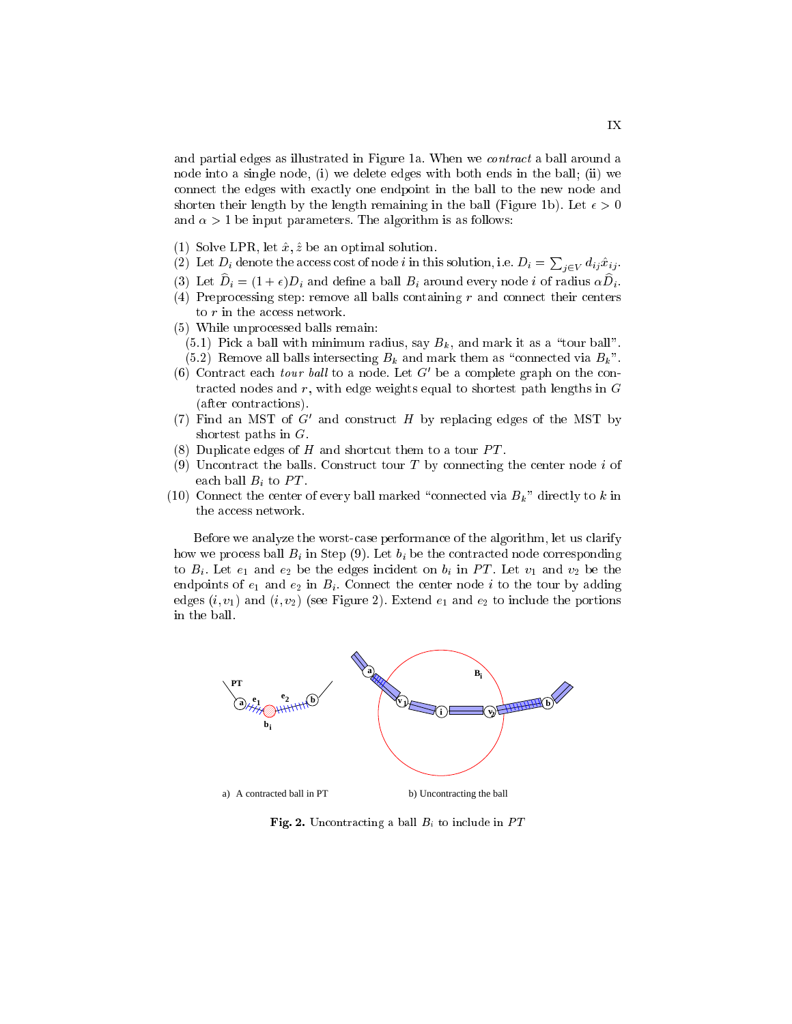and partial edges as illustrated in Figure 1a. When we *contract* a ball around a node into a single node, (i) we delete edges with both ends in the ball; (ii) we connect the edges with exactly one endpoint in the ball to the new node and shorten their length by the length remaining in the ball (Figure 1b). Let  $\epsilon > 0$ and  $\alpha > 1$  be input parameters. The algorithm is as follows:

- (1) Solve LPR, let  $\hat{x}, \hat{z}$  be an optimal solution.
- (2) Let  $D_i$  denote the access cost of node *i* in this solution, i.e.  $D_i = \sum_{j \in V} d_{ij} \hat{x}_{ij}$ .
- (3) Let  $D_i = (1 + \epsilon)D_i$  and define a ball  $B_i$  around every node i of radius  $\alpha D_i$ .
- (4) Preprocessing step: remove all balls containing  $r$  and connect their centers to r in the access network.
- (5) While unprocessed balls remain:
	- (5.1) Pick a ball with minimum radius, say  $B_k$ , and mark it as a "tour ball".
- (5.2) Remove all balls intersecting  $B_k$  and mark them as "connected via  $B_k$ ".
- (6) Contract each *tour ball* to a node. Let  $G'$  be a complete graph on the contracted nodes and  $r$ , with edge weights equal to shortest path lengths in  $G$ (after contractions).
- (7) Find an MST of G' and construct H by replacing edges of the MST by shortest paths in G.
- (8) Duplicate edges of H and shortcut them to a tour  $PT$ .
- (9) Uncontract the balls. Construct tour  $T$  by connecting the center node  $i$  of each ball  $B_i$  to PT.
- (10) Connect the center of every ball marked "connected via  $B_k$ " directly to k in the access network.

Before we analyze the worst-case performance of the algorithm, let us clarify how we process ball  $B_i$  in Step (9). Let  $b_i$  be the contracted node corresponding to  $B_i$ . Let  $e_1$  and  $e_2$  be the edges incident on  $b_i$  in PT. Let  $v_1$  and  $v_2$  be the endpoints of  $e_1$  and  $e_2$  in  $B_i$ . Connect the center node i to the tour by adding edges  $(i, v_1)$  and  $(i, v_2)$  (see Figure 2). Extend  $e_1$  and  $e_2$  to include the portions in the ball.



Fig. 2. Uncontracting a ball  $B_i$  to include in  $PT$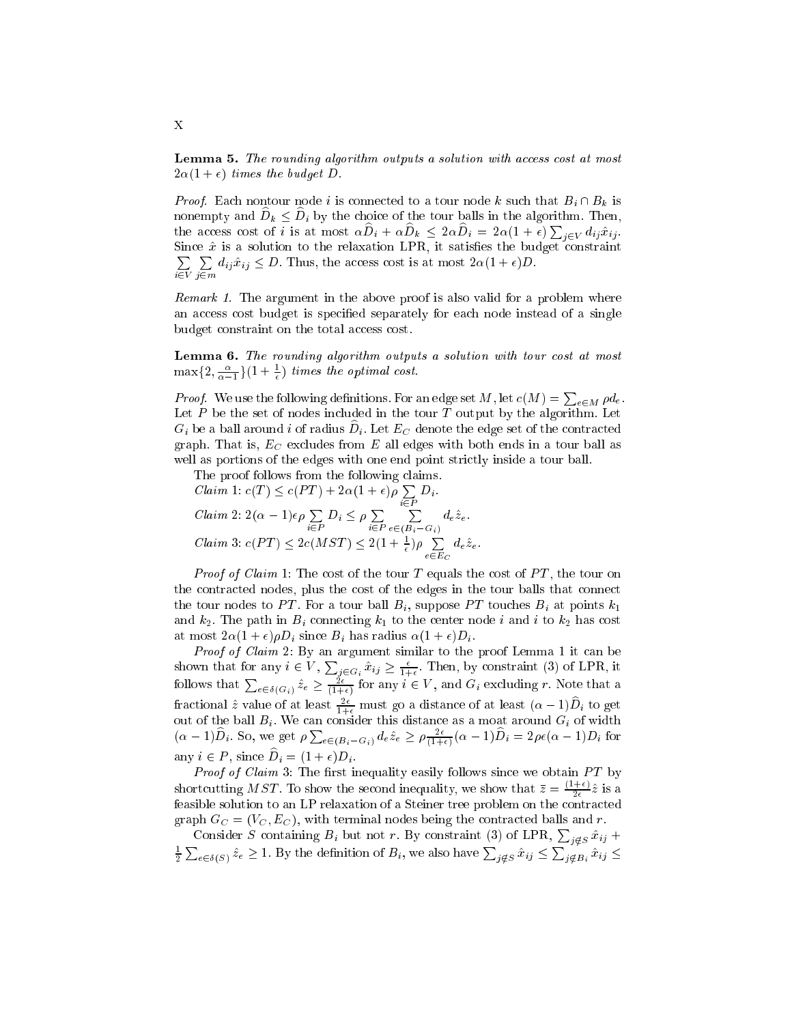Lemma 5. The rounding algorithm outputs a solution with access cost at most  $2\alpha(1 + \epsilon)$  times the budget D.

*Proof.* Each nontour node i is connected to a tour node k such that  $B_i \cap B_k$  is nonempty and  $D_k \leq D_i$  by the choice of the tour balls in the algorithm. Then, the access cost of *i* is at most  $\alpha D_i + \alpha D_k \leq 2\alpha D_i = 2\alpha(1+\epsilon)\sum_{j\in V} d_{ij}\hat{x}_{ij}$ . Since  $x$  is a solution to the relaxation LPR, it satisfies the budget constraint <sup>P</sup>  $\sim$   $\sim$ <sup>P</sup> j2m  $d_{ij}\hat{x}_{ij} \leq D$ . Thus, the access cost is at most  $2\alpha(1 + \epsilon)D$ .

Remark 1. The argument in the above proof is also valid for a problem where an access cost budget is specied separately for each node instead of a single budget constraint on the total access cost.

Lemma 6. The rounding algorithm outputs a solution with tour cost at most  $\max\{2,\frac{1}{\alpha-1}\}(1+\frac{1}{\epsilon})$  times the optimal cost.

*Proof.* We use the following definitions. For an edge set M, let  $c(M) = \sum_{e \in M} \rho d_e$ . Let  $P$  be the set of nodes included in the tour  $T$  output by the algorithm. Let  $G_i$  be a ball around  $i$  of radius  $D_i$ . Let  $E_C$  denote the edge set of the contracted graph. That is,  $E_C$  excludes from E all edges with both ends in a tour ball as well as portions of the edges with one end point strictly inside a tour ball.

Claim 1:  $c(T) \leq c(PT) + 2\alpha(1+\epsilon) \sum_{i \in P} D_i$ .  $D_i$ . *Claim* 2:  $2(\alpha - 1)\epsilon \rho \sum_{i \in P} D_i \leq \rho \sum_{i \in P}$ <sup>P</sup>  $\sim$  $d_e\hat{z}_e$  .  $Claim\ 3: c(PT) \leq 2c(MST) \leq 2(1 + \frac{1}{\epsilon})\rho \sum_{e \in E_C}$  $d_e\hat{z}_e$  .

*Proof of Claim* 1: The cost of the tour  $T$  equals the cost of  $PT$ , the tour on the contracted nodes, plus the cost of the edges in the tour balls that connect the tour nodes to PT. For a tour ball  $B_i$ , suppose PT touches  $B_i$  at points  $k_1$ and  $k_2$ . The path in  $B_i$  connecting  $k_1$  to the center node i and i to  $k_2$  has cost at most  $2\alpha(1 + \epsilon)\rho D_i$  since  $B_i$  has radius  $\alpha(1 + \epsilon)D_i$ .

shown that for any  $i \in V$ ,  $\sum_{j \in G_i} \hat{x}_{ij} \ge \frac{\epsilon}{1+\epsilon}$ . Then, by constraint (3) of LPR, it follows that  $\sum_{e \in \delta(G_i)} \hat{z}_e \ge \frac{2\epsilon}{(1+\epsilon)}$  for any  $i \in V$ , and  $G_i$  excluding r. Note that a fractional  $\hat{z}$  value of at least  $\frac{2\epsilon}{1+\epsilon}$  must go a distance of at least  $(\alpha - 1)D_i$  to get out of the ball  $B_i$ . We can consider this distance as a moat around  $G_i$  of width  $(\alpha - 1)D_i$ . So, we get  $\rho \sum_{e \in (B_i - G_i)} d_e \hat{z}_e \ge \rho \frac{2\epsilon}{(1+\epsilon)} (\alpha - 1)D_i = 2\rho \epsilon (\alpha - 1)D_i$  for any  $i \in P$ , since  $D_i = (1 + \epsilon)D_i$ .

*Proof of Claim* 3: The first inequality easily follows since we obtain  $PT$  by shortcutting MST. To show the second inequality, we show that  $\bar{z} = \frac{(1+\epsilon)}{2\epsilon} \hat{z}$  is a feasible solution to an LP relaxation of a Steiner tree problem on the contracted graph  $G_C = (V_C, E_C)$ , with terminal nodes being the contracted balls and r.

Consider S containing  $B_i$  but not r. By constraint (3) of LPR,  $\sum_{i \notin S} \hat{x}_{ij}$  + <sup>1</sup> <sup>2</sup>  $\sum_{e \in \delta(S)} \hat{z}_e \geq 1$ . By the definition of  $B_i$ , we also have  $\sum_{j \notin S} \hat{x}_{ij} \leq \sum_{j \notin B_i} \hat{x}_{ij} \leq$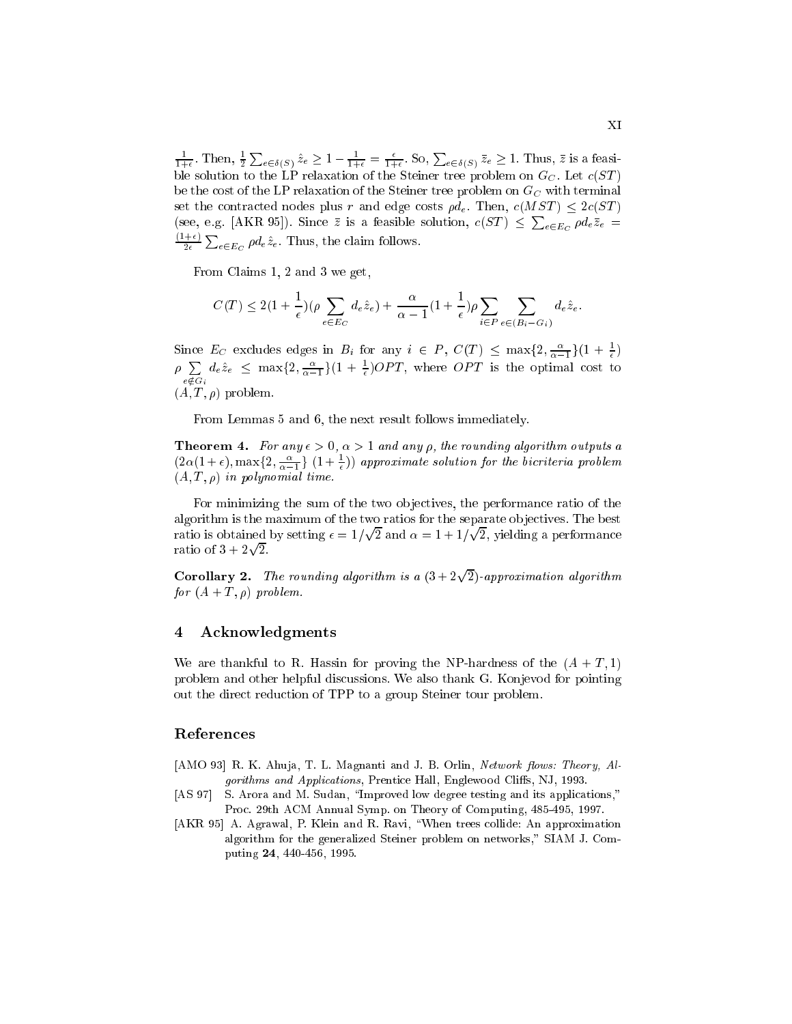$\frac{1}{1+\epsilon}$ . I nen,  $\frac{1}{2}$  $\sum_{e \in \delta(S)} \hat{z}_e \geq 1 - \frac{1}{1+\epsilon} = \frac{\epsilon}{1+\epsilon}$ . So,  $\sum_{e \in \delta(S)} \bar{z}_e \geq 1$ . Thus,  $\bar{z}$  is a feasible solution to the LP relaxation of the Steiner tree problem on  $G_C$ . Let  $c(ST)$ be the cost of the LP relaxation of the Steiner tree problem on  $G_C$  with terminal set the contracted nodes plus r and edge costs  $\rho d_e$ . Then,  $c(MST) \leq 2c(ST)$ (see, e.g. [AKR 95]). Since  $\bar{z}$  is a feasible solution,  $c(ST) \leq \sum_{e \in E_C} \rho d_e \bar{z}_e =$  $\mathbf{1}$  $\overline{\phantom{a}}$  $_{e \in E_C}$   $\rho d_e \hat{z}_e$ . Thus, the claim follows.

From Claims 1, 2 and 3 we get,

$$
C(T) \le 2\left(1 + \frac{1}{\epsilon}\right)(\rho \sum_{e \in E_C} d_e \hat{z}_e) + \frac{\alpha}{\alpha - 1}(1 + \frac{1}{\epsilon})\rho \sum_{i \in P} \sum_{e \in (B_i - G_i)} d_e \hat{z}_e.
$$

Since  $E_C$  excludes edges in  $B_i$  for any  $i \in P$ ,  $C(T) \leq \max\{2, \frac{\alpha}{\alpha-1}\}(1 + \frac{1}{\epsilon})$  $\rho \sum d_e \hat{z}_e \leq \max\{2, \frac{\alpha}{\alpha-1}\}(1+\frac{1}{\epsilon})OPT$ , where OPT is the optimal cost t e =2Gi  $d_e\hat{z}_e \ \leq \ \max\{2, \frac{\alpha}{\alpha-1}\}(1 + \frac{1}{\epsilon})OPT,$  where  $OPT$  is the optimal cost to  $(A, T, \rho)$  problem.

From Lemmas 5 and 6, the next result follows immediately.

**Theorem 4.** For any  $\epsilon > 0$ ,  $\alpha > 1$  and any  $\rho$ , the rounding algorithm outputs a  $(2\alpha(1+\epsilon), \max\{2, \frac{\alpha}{\alpha-1}\}\ (1+\frac{\epsilon}{\epsilon}))$  approximate solution for the bicriteria problem  $(A, T, \rho)$  in polynomial time.

For minimizing the sum of the two objectives, the performance ratio of the algorithm is the maximum of the two ratios for the separate ob jectives. The best ratio is obtained by setting  $\epsilon = 1/\sqrt{2}$  and  $\alpha = 1 + 1/\sqrt{2}$ 2, yielding a performance ratio of 3 + 2 p

**Corollary 2.** The rounding algorithm is a  $(3+2\sqrt{2})$ -approximation algorithm for  $(A + T, \rho)$  problem.

## 4 Acknowledgments

We are thankful to R. Hassin for proving the NP-hardness of the  $(A + T, 1)$ problem and other helpful discussions. We also thank G. Konjevod for pointing out the direct reduction of TPP to a group Steiner tour problem.

## References

- $[AMO 93]$  R. K. Ahuja, T. L. Magnanti and J. B. Orlin, *Network flows: Theory, Al*gorithms and Applications, Prentice Hall, Englewood Cliffs, NJ, 1993.
- [AS 97] S. Arora and M. Sudan, "Improved low degree testing and its applications," Proc. 29th ACM Annual Symp. on Theory of Computing, 485-495, 1997.
- [AKR 95] A. Agrawal, P. Klein and R. Ravi, "When trees collide: An approximation algorithm for the generalized Steiner problem on networks," SIAM J. Computing 24, 440-456, 1995.